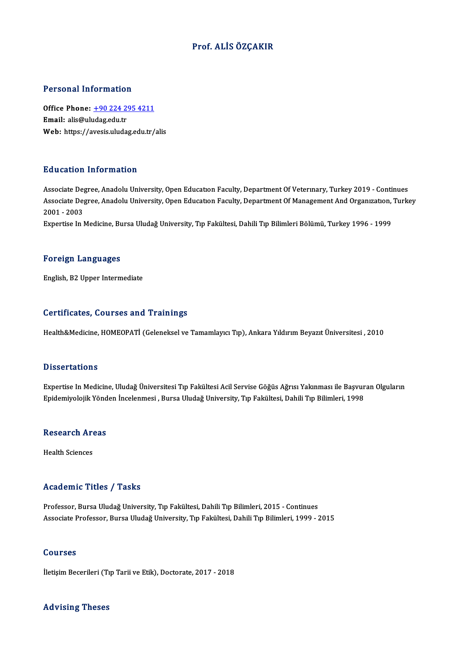## Prof. ALİSÖZÇAKIR

## Personal Information

Personal Information<br>Office Phone: <u>+90 224 295 4211</u> office Phone: <u>+90 224 2</u><br>Email: alis@uludag.edu.tr<br>Web: https://avesis.uluda Email: alis@uludag.edu.tr<br>Web: https://a[vesis.uludag.edu.tr/](tel:+90 224 295 4211)alis

## Education Information

Associate Degree, Anadolu University, Open Education Faculty, Department Of Veterinary, Turkey 2019 - Continues Associate Degree, Anadolu University, Open Education Faculty, Department Of Veterinary, Turkey 2019 - Continues<br>Associate Degree, Anadolu University, Open Education Faculty, Department Of Management And Organization, Turke Associate De<sub>l</sub><br>Associate De<sub>l</sub><br>2001 - 2003<br>Evnortise In I Associate Degree, Anadolu University, Open Education Faculty, Department Of Management And Organization,<br>2001 - 2003<br>Expertise In Medicine, Bursa Uludağ University, Tıp Fakültesi, Dahili Tıp Bilimleri Bölümü, Turkey 1996 -

Expertise In Medicine, Bursa Uludağ University, Tıp Fakültesi, Dahili Tıp Bilimleri Bölümü, Turkey 1996 - 1999<br>Foreign Languages

English,B2Upper Intermediate

## Certificates, Courses and Trainings

Health&Medicine, HOMEOPATİ (Geleneksel ve Tamamlayıcı Tıp), Ankara Yıldırım Beyazıt Üniversitesi , 2010

### **Dissertations**

Dissertations<br>Expertise In Medicine, Uludağ Üniversitesi Tıp Fakültesi Acil Servise Göğüs Ağrısı Yakınması ile Başvuran Olguların<br>Enidemiyalejik Yönden İngelenmesi, Burga Uludağ University Tıp Fakültesi Debili Tıp Bilimler Bassea tatrons<br>Expertise In Medicine, Uludağ Üniversitesi Tıp Fakültesi Acil Servise Göğüs Ağrısı Yakınması ile Başvur<br>Epidemiyolojik Yönden İncelenmesi , Bursa Uludağ University, Tıp Fakültesi, Dahili Tıp Bilimleri, 1998

# <sub>еріаетіуоюјік топа</sub><br>Research Areas R<mark>esearch Ar</mark><br>Health Sciences

# Academic Titles / Tasks

Professor, Bursa Uludağ University, Tıp Fakültesi, Dahili Tıp Bilimleri, 2015 - Continues Associate Professor, Bursa Uludağ University, Tıp Fakültesi, Dahili Tıp Bilimleri, 1999 - 2015

### Courses

İletişim Becerileri (Tıp Tarii ve Etik), Doctorate, 2017 - 2018

### Advising Theses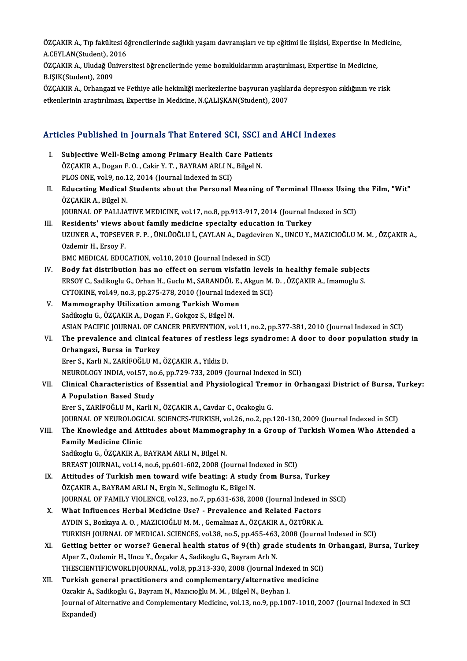ÖZÇAKIR A., Tıp fakültesi öğrencilerinde sağlıklı yaşam davranışları ve tıp eğitimi ile ilişkisi, Expertise In Medicine,<br>A CEVLAN(Student), 2016 ÖZÇAKIR A., Tıp fakültesi ö<br>A.CEYLAN(Student), 2016<br>ÖZCAKIR A. Hudağ Üniyen ÖZÇAKIR A., Tıp fakültesi öğrencilerinde sağlıklı yaşam davranışları ve tıp eğitimi ile ilişkisi, Expertise In Me<br>A.CEYLAN(Student), 2016<br>ÖZÇAKIR A., Uludağ Üniversitesi öğrencilerinde yeme bozukluklarının araştırılması, E

A.CEYLAN(Student), 2016<br>ÖZÇAKIR A., Uludağ Üniversitesi öğrencilerinde yeme bozukluklarının araştırılması, Expertise In Medicine,<br>B.IŞIK(Student), 2009 ÖZÇAKIR A., Uludağ Üniversitesi öğrencilerinde yeme bozukluklarının araştırılması, Expertise In Medicine,<br>B.IŞIK(Student), 2009<br>ÖZÇAKIR A., Orhangazi ve Fethiye aile hekimliği merkezlerine başvuran yaşlılarda depresyon sık

B.IŞIK(Student), 2009<br>ÖZÇAKIR A., Orhangazi ve Fethiye aile hekimliği merkezlerine başvuran yaşlıla<br>etkenlerinin araştırılması, Expertise In Medicine, N.ÇALIŞKAN(Student), 2007

# etkenlerinin araşurılması, experuse in medicine, N.ÇALIŞKAN(Student), 2007<br>Articles Published in Journals That Entered SCI, SSCI and AHCI Indexes

rticles Published in Journals That Entered SCI, SSCI and<br>I. Subjective Well-Being among Primary Health Care Patients<br>OZCAKIRA, Desen E.O. Cekir Y.T., BAYRAM ABLI N. Bikel N. Stoo Tubilonou in Journalis That affect out bory bound.<br>Subjective Well-Being among Primary Health Care Patie:<br>ÖZÇAKIR A., Dogan F. O. , Cakir Y. T. , BAYRAM ARLI N., Bilgel N. Subjective Well-Being among Primary Health Ca<br>ÖZÇAKIR A., Dogan F. O. , Cakir Y. T. , BAYRAM ARLI N.,<br>PLOS ONE, vol.9, no.12, 2014 (Journal Indexed in SCI)<br>Educating Modical Students shout the Bersonal II. Educating Medical Students about the Personal Meaning of Terminal Illness Using the Film, "Wit"<br>ÖZÇAKIR A., Bilgel N. PLOS ONE, vol 9, no.12, 2014 (Journal Indexed in SCI) Educating Medical Students about the Personal Meaning of Terminal Illness Using<br>ÖZÇAKIR A., Bilgel N.<br>JOURNAL OF PALLIATIVE MEDICINE, vol.17, no.8, pp.913-917, 2014 (Journal Indexed in SCI)<br>Pesidents' views shout family me ÖZÇAKIR A., Bilgel N.<br>JOURNAL OF PALLIATIVE MEDICINE, vol.17, no.8, pp.913-917, 2014 (Journal In<br>III. Residents' views about family medicine specialty education in Turkey<br>IIZUNER A. TORSEVER E. B. ÜNU ÜQĞLU İ. CAYLAN A. Do JOURNAL OF PALLIATIVE MEDICINE, vol.17, no.8, pp.913-917, 2014 (Journal Indexed in SCI)<br>Residents' views about family medicine specialty education in Turkey<br>UZUNER A., TOPSEVER F. P. , ÜNLÜOĞLU İ., ÇAYLAN A., Dagdeviren N. Residents' views a<br>UZUNER A., TOPSEVI<br>Ozdemir H., Ersoy F.<br>PMC MEDICAL EDUC UZUNER A., TOPSEVER F. P. , ÜNLÜOĞLU İ., ÇAYLAN A., Dagdeviren<br>Ozdemir H., Ersoy F.<br>BMC MEDICAL EDUCATION, vol.10, 2010 (Journal Indexed in SCI)<br>Pody fat distribution bas no effect an serum visfatin levels Ozdemir H., Ersoy F.<br>BMC MEDICAL EDUCATION, vol.10, 2010 (Journal Indexed in SCI)<br>IV. Body fat distribution has no effect on serum visfatin levels in healthy female subjects<br>FRSOV C. Sadilogly C. Orban H. Cucly M. SARANDÖL BMC MEDICAL EDUCATION, vol.10, 2010 (Journal Indexed in SCI)<br>Body fat distribution has no effect on serum visfatin levels in healthy female subject<br>ERSOY C., Sadikoglu G., Orhan H., Guclu M., SARANDÖL E., Akgun M. D. , ÖZÇ Body fat distribution has no effect on serum visfatin levels<br>ERSOY C., Sadikoglu G., Orhan H., Guclu M., SARANDÖL E., Akgun M.<br>CYTOKINE, vol.49, no.3, pp.275-278, 2010 (Journal Indexed in SCI)<br>Mammagraphy Utilization among ERSOY C., Sadikoglu G., Orhan H., Guclu M., SARANDÖL E., Akgun M. D. , ÖZÇAKIR A., Imamoglu S.<br>CYTOKINE, vol.49, no.3, pp.275-278, 2010 (Journal Indexed in SCI)<br>V. **Mammography Utilization among Turkish Women** Sadikoglu G., ÖZÇAKIR A., Dogan F., Gokgoz S., Bilgel N. Mammography Utilization among Turkish Women<br>Sadikoglu G., ÖZÇAKIR A., Dogan F., Gokgoz S., Bilgel N.<br>ASIAN PACIFIC JOURNAL OF CANCER PREVENTION, vol.11, no.2, pp.377-381, 2010 (Journal Indexed in SCI)<br>The prevelence and cl Sadikoglu G., ÖZÇAKIR A., Dogan F., Gokgoz S., Bilgel N.<br>ASIAN PACIFIC JOURNAL OF CANCER PREVENTION, vol.11, no.2, pp.377-381, 2010 (Journal Indexed in SCI)<br>VI. The prevalence and clinical features of restless legs syndrom ASIAN PACIFIC JOURNAL OF CA<br>The prevalence and clinical<br>Orhangazi, Bursa in Turkey<br>Frer S. Korli N. ZABIEOČI U.M The prevalence and clinical features of restles:<br>Orhangazi, Bursa in Turkey<br>Erer S., Karli N., ZARİFOĞLU M., ÖZÇAKIR A., Yildiz D.<br>NEUPOLOCY INDIA, YOLEZ no 6, np 729, 722, 2009 (İ Orhangazi, Bursa in Turkey<br>Erer S., Karli N., ZARİFOĞLU M., ÖZÇAKIR A., Yildiz D.<br>NEUROLOGY INDIA, vol.57, no.6, pp.729-733, 2009 (Journal Indexed in SCI)<br>Clinical Characteristics of Essential and Physiological Tramer in O Erer S., Karli N., ZARİFOĞLU M., ÖZÇAKIR A., Yildiz D.<br>NEUROLOGY INDIA, vol.57, no.6, pp.729-733, 2009 (Journal Indexed in SCI)<br>VII. Clinical Characteristics of Essential and Physiological Tremor in Orhangazi District **NEUROLOGY INDIA, vol.57, no<br>Clinical Characteristics of<br>A Population Based Study**<br>Fron S. ZARIEOČUJM, Korli N Clinical Characteristics of Essential and Physiological Trem<br>A Population Based Study<br>Erer S., ZARİFOĞLUM., Karli N., ÖZÇAKIR A., Cavdar C., Ocakoglu G.<br>JOUPMAL OE NEUPOLOCICAL SCIENCES TURKISH xal 26 no 2 nn A Population Based Study<br>Erer S., ZARİFOĞLU M., Karli N., ÖZÇAKIR A., Cavdar C., Ocakoglu G.<br>JOURNAL OF NEUROLOGICAL SCIENCES-TURKISH, vol.26, no.2, pp.120-130, 2009 (Journal Indexed in SCI) Erer S., ZARİFOĞLU M., Karli N., ÖZÇAKIR A., Cavdar C., Ocakoglu G.<br>JOURNAL OF NEUROLOGICAL SCIENCES-TURKISH, vol.26, no.2, pp.120-130, 2009 (Journal Indexed in SCI)<br>VIII. The Knowledge and Attitudes about Mammography **JOURNAL OF NEUROLOGI<br>The Knowledge and Att<br>Family Medicine Clinic<br>Sedikogly C. ÖZCAKIR A** The Knowledge and Attitudes about Mammogr<br>Family Medicine Clinic<br>Sadikoglu G., ÖZÇAKIR A., BAYRAM ARLI N., Bilgel N.<br>PREAST JOUPNAL, vol 14, po 6, pp 601, 602, 2008 (k Family Medicine Clinic<br>Sadikoglu G., ÖZÇAKIR A., BAYRAM ARLI N., Bilgel N.<br>BREAST JOURNAL, vol.14, no.6, pp.601-602, 2008 (Journal Indexed in SCI) Sadikoglu G., ÖZÇAKIR A., BAYRAM ARLI N., Bilgel N.<br>BREAST JOURNAL, vol.14, no.6, pp.601-602, 2008 (Journal Indexed in SCI)<br>IX. Attitudes of Turkish men toward wife beating: A study from Bursa, Turkey<br>ÖZCAKIR A. BAYRAM ARL BREAST JOURNAL, vol.14, no.6, pp.601-602, 2008 (Journal Ind<br>Attitudes of Turkish men toward wife beating: A study<br>ÖZÇAKIR A., BAYRAM ARLI N., Ergin N., Selimoglu K., Bilgel N.<br>JOURNAL OF FAMILY VIOLENCE vol.22, no.7, np.62 Attitudes of Turkish men toward wife beating: A study from Bursa, Turkey<br>ÖZÇAKIR A., BAYRAM ARLI N., Ergin N., Selimoglu K., Bilgel N.<br>JOURNAL OF FAMILY VIOLENCE, vol.23, no.7, pp.631-638, 2008 (Journal Indexed in SSCI)<br>Wh ÖZÇAKIR A., BAYRAM ARLI N., Ergin N., Selimoglu K., Bilgel N.<br>JOURNAL OF FAMILY VIOLENCE, vol.23, no.7, pp.631-638, 2008 (Journal Indexed in Medicine Use? - Prevalence and Related Factors<br>X. What Influences Herbal Medicine JOURNAL OF FAMILY VIOLENCE, vol.23, no.7, pp.631-638, 2008 (Journal Indexed in<br>What Influences Herbal Medicine Use? - Prevalence and Related Factors<br>AYDIN S., Bozkaya A. O. , MAZICIOĞLU M. M. , Gemalmaz A., ÖZÇAKIR A., ÖZT What Influences Herbal Medicine Use? - Prevalence and Related Factors<br>AYDIN S., Bozkaya A. O. , MAZICIOĞLU M. M. , Gemalmaz A., ÖZÇAKIR A., ÖZTÜRK A.<br>TURKISH JOURNAL OF MEDICAL SCIENCES, vol.38, no.5, pp.455-463, 2008 (Jou AYDIN S., Bozkaya A. O. , MAZICIOĞLU M. M. , Gemalmaz A., ÖZÇAKIR A., ÖZTÜRK A.<br>TURKISH JOURNAL OF MEDICAL SCIENCES, vol.38, no.5, pp.455-463, 2008 (Journal Indexed in SCI)<br>XI. Getting better or worse? General health statu TURKISH JOURNAL OF MEDICAL SCIENCES, vol.38, no.5, pp.455-463<br>Getting better or worse? General health status of 9(th) grad<br>Alper Z., Ozdemir H., Uncu Y., Özçakır A., Sadikoglu G., Bayram Arlı N.<br>THESCIENTIEICWORL DIQURNAL, Getting better or worse? General health status of 9(th) grade students in<br>Alper Z., Ozdemir H., Uncu Y., Özçakır A., Sadikoglu G., Bayram Arlı N.<br>THESCIENTIFICWORLDJOURNAL, vol.8, pp.313-330, 2008 (Journal Indexed in SCI)<br> Alper Z., Ozdemir H., Uncu Y., Özçakır A., Sadikoglu G., Bayram Arlı N.<br>THESCIENTIFICWORLDJOURNAL, vol.8, pp.313-330, 2008 (Journal Indexed in SCI<br>XII. Turkish general practitioners and complementary/alternative medici THESCIENTIFICWORLDJOURNAL, vol.8, pp.313-330, 2008 (Journal Indexed in SCI) Journal of Alternative and Complementary Medicine, vol.13, no.9, pp.1007-1010, 2007 (Journal Indexed in SCI<br>Expanded) Ozcakir A., Sadikoglu G., Bayram N., Mazıcıoğlu M. M., Bilgel N., Beyhan I.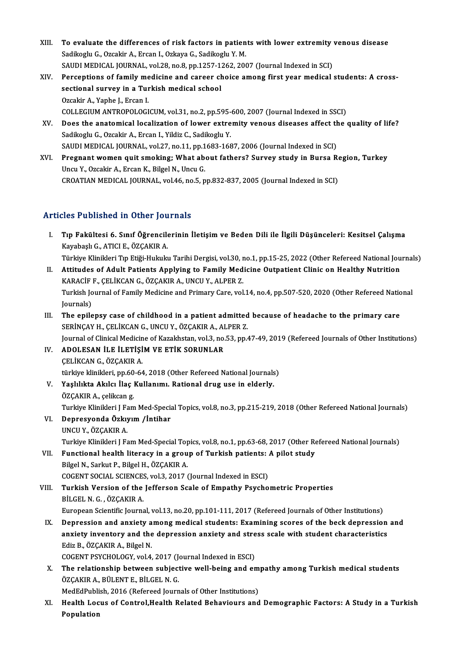- XIII. To evaluate the differences of risk factors in patients with lower extremity venous disease<br>Sedikash C. Ozcalin A. Ersan L. Oskaya C. Sedikash Y. M. To evaluate the differences of risk factors in patien<br>Sadikoglu G., Ozcakir A., Ercan I., Ozkaya G., Sadikoglu Y. M.<br>SAUDI MEDICAL JOUPNAL, vol 28, po 8, pp.1257, 1262, 200 To evaluate the differences of risk factors in patients with lower extremity<br>Sadikoglu G., Ozcakir A., Ercan I., Ozkaya G., Sadikoglu Y. M.<br>SAUDI MEDICAL JOURNAL, vol.28, no.8, pp.1257-1262, 2007 (Journal Indexed in SCI)<br>P Sadikoglu G., Ozcakir A., Ercan I., Ozkaya G., Sadikoglu Y. M.<br>SAUDI MEDICAL JOURNAL, vol.28, no.8, pp.1257-1262, 2007 (Journal Indexed in SCI)<br>XIV. Perceptions of family medicine and career choice among first year medical
- SAUDI MEDICAL JOURNAL, vol.28, no.8, pp.1257-1:<br>Perceptions of family medicine and career ch<br>sectional survey in a Turkish medical school<br>Ozeakir A. Yanha L. Erean L. **Perceptions of family me<br>sectional survey in a Tur<br>Ozcakir A., Yaphe J., Ercan I.<br>COLLECUIM ANTROPOLOCI** sectional survey in a Turkish medical school<br>Ozcakir A., Yaphe J., Ercan I.<br>COLLEGIUM ANTROPOLOGICUM, vol.31, no.2, pp.595-600, 2007 (Journal Indexed in SSCI)<br>Doss the anatomisal losalization of lower extremity veneus dise
- Ozcakir A., Yaphe J., Ercan I.<br>COLLEGIUM ANTROPOLOGICUM, vol.31, no.2, pp.595-600, 2007 (Journal Indexed in SSCI)<br>XV. Does the anatomical localization of lower extremity venous diseases affect the quality of life?<br>Sadikogl COLLEGIUM ANTROPOLOGICUM, vol.31, no.2, pp.595-<br>Does the anatomical localization of lower extre<br>Sadikoglu G., Ozcakir A., Ercan I., Yildiz C., Sadikoglu Y. Does the anatomical localization of lower extremity venous diseases affect th<br>Sadikoglu G., Ozcakir A., Ercan I., Yildiz C., Sadikoglu Y.<br>SAUDI MEDICAL JOURNAL, vol.27, no.11, pp.1683-1687, 2006 (Journal Indexed in SCI)<br>Pr Sadikoglu G., Ozcakir A., Ercan I., Yildiz C., Sadikoglu Y.<br>SAUDI MEDICAL JOURNAL, vol.27, no.11, pp.1683-1687, 2006 (Journal Indexed in SCI)<br>XVI. Pregnant women quit smoking; What about fathers? Survey study in Bursa Regi
- SAUDI MEDICAL JOURNAL, vol.27, no.11, pp.1<br>Pregnant women quit smoking; What ab<br>Uncu Y., Ozcakir A., Ercan K., Bilgel N., Uncu G.<br>CROATIAN MEDICAL JOURNAL, vol.46, no.5, n Pregnant women quit smoking; What about fathers? Survey study in Bursa Re<br>Uncu Y., Ozcakir A., Ercan K., Bilgel N., Uncu G.<br>CROATIAN MEDICAL JOURNAL, vol.46, no.5, pp.832-837, 2005 (Journal Indexed in SCI) CROATIAN MEDICAL JOURNAL, vol.46, no.5, pp.832-837, 2005 (Journal Indexed in SCI)<br>Articles Published in Other Journals

- rticles Published in Other Journals<br>I. Tıp Fakültesi 6. Sınıf Öğrencilerinin İletişim ve Beden Dili ile İlgili Düşünceleri: Kesitsel Çalışma<br>Kavahaslı C. ATICLE ÖZCAKIRA xtes 1 asmsnea in Stner jea<br>Tıp Fakültesi 6. Sınıf Öğrencile<br>Kayabaşlı G., ATICI E., ÖZÇAKIR A.<br>Türkiye Klinikleri Tıp Etiği Hulpılı Tıp Fakültesi 6. Sınıf Öğrencilerinin İletişim ve Beden Dili ile İlgili Düşünceleri: Kesitsel Çalışma<br>Kayabaşlı G., ATICI E., ÖZÇAKIR A.<br>Türkiye Klinikleri Tıp Etiği-Hukuku Tarihi Dergisi, vol.30, no.1, pp.15-25, 2022 (Oth Kayabaşlı G., ATICI E., ÖZÇAKIR A.<br>Türkiye Klinikleri Tıp Etiği-Hukuku Tarihi Dergisi, vol.30, no.1, pp.15-25, 2022 (Other Refereed National Jou<br>II. Attitudes of Adult Patients Applying to Family Medicine Outpatient Clinic
- Türkiye Klinikleri Tıp Etiği-Hukuku Tarihi Dergisi, vol.30, r<br>Attitudes of Adult Patients Applying to Family Med<br>KARACİF F., ÇELİKCAN G., ÖZÇAKIR A., UNCU Y., ALPER Z.<br>Turkich Journal of Family Medicine and Primary Care vo Attitudes of Adult Patients Applying to Family Medicine Outpatient Clinic on Healthy Nutrition<br>KARACİF F., ÇELİKCAN G., ÖZÇAKIR A., UNCU Y., ALPER Z.<br>Turkish Journal of Family Medicine and Primary Care, vol.14, no.4, pp.50 KARACIF<br>Turkish Jo<br>Journals)<br>The enile Journals)<br>III. The epilepsy case of childhood in a patient admitted because of headache to the primary care
- SERİNÇAY H., ÇELİKCAN G., UNCU Y., ÖZÇAKIR A., ALPER Z. The epilepsy case of childhood in a patient admitted because of headache to the primary care<br>SERİNÇAY H., ÇELİKCAN G., UNCU Y., ÖZÇAKIR A., ALPER Z.<br>Journal of Clinical Medicine of Kazakhstan, vol.3, no.53, pp.47-49, 2019 SERİNÇAY H., ÇELİKCAN G., UNCU Y., ÖZÇAKIR A., AI<br>Journal of Clinical Medicine of Kazakhstan, vol.3, no.<br>IV. ADOLESAN İLE İLETİŞİM VE ETİK SORUNLAR
- Journal of Clinical Medicin<br>ADOLESAN İLE İLETİŞİ<br>ÇELİKCAN G., ÖZÇAKIR A.<br>türkiye klinikleri, np.60,64 ADOLESAN İLE İLETİŞİM VE ETİK SORUNLAR<br>ÇELİKCAN G., ÖZÇAKIR A.<br>türkiye klinikleri, pp.60-64, 2018 (Other Refereed National Journals)<br>Yoskikita Akılaı İlas Kullanımı, Bational drug usa in aldarlu.
- CELİKCAN G., ÖZÇAKIR A.<br>türkiye klinikleri, pp.60-64, 2018 (Other Refereed National Journals<br>V. Yaşlılıkta Akılcı İlaç Kullanımı. Rational drug use in elderly.<br>ÖZCAKIB A. seliksen z. türkiye klinikleri, pp.60<br>Yaşlılıkta Akılcı İlaç |<br>ÖZÇAKIR A., çelikcan g.<br>Turkiye Klinikleri I Far Yaşlılıkta Akılcı İlaç Kullanımı. Rational drug use in elderly.<br>ÖZÇAKIR A., çelikcan g.<br>Turkiye Klinikleri J Fam Med-Special Topics, vol.8, no.3, pp.215-219, 2018 (Other Refereed National Journals)<br>Dennesyonda Örkyym «İnti

- ÖZÇAKIR A., çelikcan g.<br>Turkiye Klinikleri J Fam Med-Speci.<br>VI. Depresyonda Özkıyım /İntihar<br>UNCU Y., ÖZÇAKIR A. Turkiye Klinikleri J Fa<br>Depresyonda Özkıy<br>UNCU Y., ÖZÇAKIR A.<br>Turkiye Klinikleri LEG Depresyonda Özkıyım /İntihar<br>UNCU Y., ÖZÇAKIR A.<br>Turkiye Klinikleri J Fam Med-Special Topics, vol.8, no.1, pp.63-68, 2017 (Other Refereed National Journals)<br>Eunstional bealth literasy in a group of Turkish patients: A pile UNCU Y., ÖZÇAKIR A.<br>Turkiye Klinikleri J Fam Med-Special Topics, vol.8, no.1, pp.63-68, 2017 (Other Re<br>VII. Functional health literacy in a group of Turkish patients: A pilot study<br>Pilgel N. Sarlut B. Bilgel H. ÖZCAKIB A
- Turkiye Klinikleri J Fam Med-Special Top<br>Functional health literacy in a grou<br>Bilgel N., Sarkut P., Bilgel H., ÖZÇAKIR A.<br>COCENT SOCIAL SCIENCES, vol 2, 2017 ( Functional health literacy in a group of Turkish patients: .<br>Bilgel N., Sarkut P., Bilgel H., ÖZÇAKIR A.<br>COGENT SOCIAL SCIENCES, vol.3, 2017 (Journal Indexed in ESCI)<br>Turkish Versian of the Jefferson Ssale of Emnathy Baysh
- Bilgel N., Sarkut P., Bilgel H., ÖZÇAKIR A.<br>COGENT SOCIAL SCIENCES, vol.3, 2017 (Journal Indexed in ESCI)<br>VIII. Turkish Version of the Jefferson Scale of Empathy Psychometric Properties<br>BİLGEL N. G. , ÖZÇAKIR A. COGENT SOCIAL SCIENCE:<br>Turkish Version of the<br>BİLGEL N. G. , ÖZÇAKIR A.<br>European Scientific Journe European Scientific Journal, vol.13, no.20, pp.101-111, 2017 (Refereed Journals of Other Institutions)
	- IX. Depression and anxiety among medical students: Examining scores of the beck depression and European Scientific Journal, vol.13, no.20, pp.101-111, 2017 (Refereed Journals of Other Institutions)<br>Depression and anxiety among medical students: Examining scores of the beck depression<br>anxiety inventory and the depres Depression and anxiety a<br>anxiety inventory and the<br>Ediz B., ÖZÇAKIR A., Bilgel N.<br>COCENT PSYCHOLOCY, vol.4 anxiety inventory and the depression anxiety and stre<br>Ediz B., ÖZÇAKIR A., Bilgel N.<br>COGENT PSYCHOLOGY, vol.4, 2017 (Journal Indexed in ESCI)<br>The relationship between subjective well being and en

Ediz B., ÖZÇAKIR A., Bilgel N.<br>COGENT PSYCHOLOGY, vol.4, 2017 (Journal Indexed in ESCI)<br>X. The relationship between subjective well-being and empathy among Turkish medical students<br>ÖZCAKIR A. PÜLENTE, BÜLCEL N.C. COGENT PSYCHOLOGY, vol.4, 2017 (Journal of The relationship between subject<br>ÖZÇAKIR A., BÜLENT E., BİLGEL N. G.<br>MedEdBublish 2016 (Befersed Jeurn The relationship between subjective well-being and em<br>ÖZÇAKIR A., BÜLENT E., BİLGEL N. G.<br>MedEdPublish, 2016 (Refereed Journals of Other Institutions)<br>Heelth Lesus of Control Heelth Belated Behaviours and

MedEdPublish, 2016 (Refereed Journals of Other Institutions)

ÖZÇAKIR A., BÜLENT E., BİLGEL N. G.<br>MedEdPublish, 2016 (Refereed Journals of Other Institutions)<br>XI. Health Locus of Control,Health Related Behaviours and Demographic Factors: A Study in a Turkish<br>Population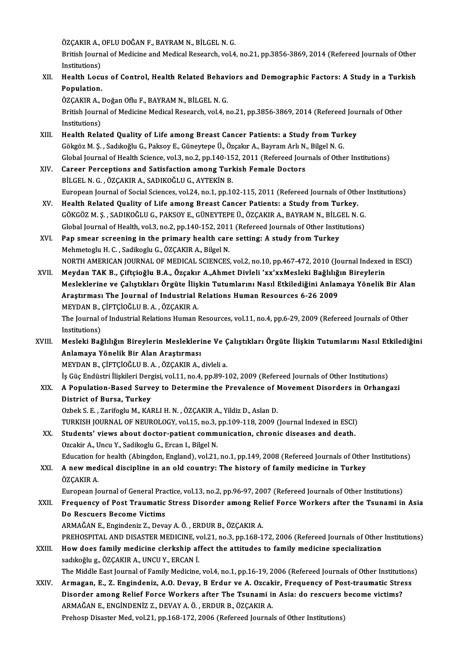ÖZÇAKIR A., OFLU DOĞAN F., BAYRAM N., BİLGEL N. G.<br>Pritish Journal of Medicine and Medical Bessarsh vel 4

British Journal of Medicine and Medical Research, vol.4, no.21, pp.3856-3869, 2014 (Refereed Journals of Other<br>Institutions) ÖZÇAKIR A., (<br>British Journ<br>Institutions)<br>Health Leav British Journal of Medicine and Medical Research, vol.4, no.21, pp.3856-3869, 2014 (Refereed Journals of Other<br>Institutions)<br>XII. Health Locus of Control, Health Related Behaviors and Demographic Factors: A Study in a Turk

# Institutions)<br>Health Locu<br>Population.<br>ÖZCAKIR A Health Locus of Control, Health Related Behav<br>Population.<br>ÖZÇAKIR A., Doğan Oflu F., BAYRAM N., BİLGEL N. G.<br>Pritish Journal of Medicine Medical Bessarsh vel 4. r

Population.<br>ÖZÇAKIR A., Doğan Oflu F., BAYRAM N., BİLGEL N. G.<br>British Journal of Medicine Medical Research, vol.4, no.21, pp.3856-3869, 2014 (Refereed Journals of Other<br>Institutions) ÖZÇAKIR A., I<br>British Journ<br>Institutions)<br>Health Bala British Journal of Medicine Medical Research, vol.4, no.21, pp.3856-3869, 2014 (Refereed Jou<br>Institutions)<br>XIII. Health Related Quality of Life among Breast Cancer Patients: a Study from Turkey<br>Calsgan M.S. Sodikegiv C. Be

- Institutions)<br>Health Related Quality of Life among Breast Cancer Patients: a Study from Turl<br>Gökgöz M. Ş. , Sadıkoğlu G., Paksoy E., Güneytepe Ü., Özçakır A., Bayram Arlı N., Bilgel N. G.<br>Clabel Journal of Health Science, Gökgöz M. Ş. , Sadıkoğlu G., Paksoy E., Güneytepe Ü., Özçakır A., Bayram Arlı N., Bilgel N. G.<br>Global Journal of Health Science, vol.3, no.2, pp.140-152, 2011 (Refereed Journals of Othe<br>XIV. Career Perceptions and Sati
- Global Journal of Health Science, vol.3, no.2, pp.140-152, 2011 (Refereed Journals of Other Institutions)<br>Career Perceptions and Satisfaction among Turkish Female Doctors BİLGELN.G. ,ÖZÇAKIRA.,SADIKOĞLUG.,AYTEKİNB. Career Perceptions and Satisfaction among Turkish Female Doctors<br>BİLGEL N. G. , ÖZÇAKIR A., SADIKOĞLU G., AYTEKİN B.<br>European Journal of Social Sciences, vol.24, no.1, pp.102-115, 2011 (Refereed Journals of Other Instituti
- XV. Health Related Quality of Life among Breast Cancer Patients: a Study fromTurkey. European Journal of Social Sciences, vol.24, no.1, pp.102-115, 2011 (Refereed Journals of Other<br>Health Related Quality of Life among Breast Cancer Patients: a Study from Turkey.<br>GÖKGÖZ M. Ş. , SADIKOĞLU G., PAKSOY E., GÜNE Health Related Quality of Life among Breast Cancer Patients: a Study from Turkey.<br>GÖKGÖZ M. Ş. , SADIKOĞLU G., PAKSOY E., GÜNEYTEPE Ü., ÖZÇAKIR A., BAYRAM N., BİLGEL N. G.<br>Global Journal of Health, vol.3, no.2, pp.140-152, GÖKGÖZ M. Ş., SADIKOĞLU G., PAKSOY E., GÜNEYTEPE Ü., ÖZÇAKIR A., BAYRAM N., BİLG<br>Global Journal of Health, vol.3, no.2, pp.140-152, 2011 (Refereed Journals of Other Instit<br>XVI. Pap smear screening in the primary health car
- Global Journal of Health, vol.3, no.2, pp.140-152, 2011 (Refereed Journals of Other Institutions)<br>Pap smear screening in the primary health care setting: A study from Turkey<br>Mehmetoglu H. C. , Sadikoglu G., ÖZÇAKIR A., Bil Pap smear screening in the primary health care setting: A study from Turkey<br>Mehmetoglu H. C. , Sadikoglu G., ÖZÇAKIR A., Bilgel N.<br>NORTH AMERICAN JOURNAL OF MEDICAL SCIENCES, vol.2, no.10, pp.467-472, 2010 (Journal Indexed Mehmetoglu H. C. , Sadikoglu G., ÖZÇAKIR A., Bilgel N.<br>NORTH AMERICAN JOURNAL OF MEDICAL SCIENCES, vol.2, no.10, pp.467-472, 2010 (Journal Indexed<br>XVII. Meydan TAK B., Çiftçioğlu B.A., Özçakır A.,Ahmet Divleli 'xx'xxMeslek
- NORTH AMERICAN JOURNAL OF MEDICAL SCIENCES, vol.2, no.10, pp.467-472, 2010 (Journal Indexed in ESCI)<br>Meydan TAK B., Çiftçioğlu B.A., Özçakır A.,Ahmet Divleli 'xx'xxMesleki Bağlılığın Bireylerin<br>Mesleklerine ve Çalıştıkları Meydan TAK B., Çiftçioğlu B.A., Özçakır A.,Ahmet Divleli 'xx'xxMesleki Bağlılığ<br>Mesleklerine ve Çalıştıkları Örgüte İlişkin Tutumlarını Nasıl Etkilediğini Anlan<br>Araştırması The Journal of Industrial Relations Human Resourc Mesleklerine ve Çalıştıkları Örgüte İlişkin Tutumlarını Nasıl Etkilediğini Anlamaya Yönelik Bir Alan<br>Araştırması The Journal of Industrial Relations Human Resources 6-26 2009<br>MEYDAN B., ÇİFTÇİOĞLU B. A. , ÖZÇAKIR A. Araştırması The Journal of Industrial Relations Human Resources 6-26 2009<br>MEYDAN B., ÇİFTÇİOĞLU B. A. , ÖZÇAKIR A.<br>The Journal of Industrial Relations Human Resources, vol.11, no.4, pp.6-29, 2009 (Refereed Journals of Othe

MEYDAN B., **(The Journal )**<br>Institutions)<br>Megleki Beğ The Journal of Industrial Relations Human Resources, vol.11, no.4, pp.6-29, 2009 (Refereed Journals of Other<br>Institutions)<br>Anlamaya Vänalik Bir Alan Anastırması

# Institutions)<br>Mesleki Bağlılığın Bireylerin Mesleklerine Ve Çalıştıkları Örgüte İlişkin Tutumlarını Nasıl Etkilediğini<br>Anlamaya Yönelik Bir Alan Araştırması Anlamaya Yönelik Bir Alan Araştırması<br>MEYDAN B., ÇİFTÇİOĞLU B. A. , ÖZÇAKIR A., divleli a.<br>İş Güç Endüstri İlişkileri Dergisi, vol.11, no.4, pp.89-102, 2009 (Refereed Journals of Other Institutions)<br>A. Bonulation Based Sur

MEYDANB.,ÇİFTÇİOĞLUB.A. ,ÖZÇAKIRA.,divlelia.

XIX. A Population-Based Survey to Determine the Prevalence of Movement Disorders in Orhangazi<br>District of Bursa, Turkey İş Güç Endüstri İlişkileri Derg<br>A Population-Based Surve<br>District of Bursa, Turkey<br>Orbek S.E., Zerifoslu M. KAL

OzbekS.E. ,ZarifogluM.,KARLIH.N. ,ÖZÇAKIRA.,YildizD.,AslanD. TURKISHJOURNALOFNEUROLOGY,vol.15,no.3,pp.109-118,2009 (Journal Indexed inESCI) Ozbek S. E. , Zarifoglu M., KARLI H. N. , ÖZÇAKIR A., Yildiz D., Aslan D.<br>TURKISH JOURNAL OF NEUROLOGY, vol.15, no.3, pp.109-118, 2009 (Journal Indexed in ESCI)<br>XX. Students' views about doctor-patient communication, chron

- TURKISH JOURNAL OF NEUROLOGY, vol.15, no.3,<br>Students' views about doctor-patient comm<br>Ozcakir A., Uncu Y., Sadikoglu G., Ercan I., Bilgel N.<br>Education for boakh (Abingdon, England), vol.31 Ozcakir A., Uncu Y., Sadikoglu G., Ercan I., Bilgel N.<br>Education for health (Abingdon, England), vol.21, no.1, pp.149, 2008 (Refereed Journals of Other Institutions) Ozcakir A., Uncu Y., Sadikoglu G., Ercan I., Bilgel N.<br>Education for health (Abingdon, England), vol.21, no.1, pp.149, 2008 (Refereed Journals of Other<br>XXI. A new medical discipline in an old country: The history of fa
- Education fo<br>**A** new med<br>ÖZÇAKIR A.<br>European Is A new medical discipline in an old country: The history of family medicine in Turkey<br>ÖZÇAKIR A.<br>European Journal of General Practice, vol.13, no.2, pp.96-97, 2007 (Refereed Journals of Other Institutions)<br>Enequency of Post

ÖZÇAKIR A.<br>European Journal of General Practice, vol.13, no.2, pp.96-97, 2007 (Refereed Journals of Other Institutions)<br>XXII. Frequency of Post Traumatic Stress Disorder among Relief Force Workers after the Tsunami in Asia European Journal of General Pra<br>Frequency of Post Traumatic<br>Do Rescuers Become Victims<br>ABMAČAN E. Engindaniz 7. Dava Frequency of Post Traumatic Stress Disorder among Rel<br>Do Rescuers Become Victims<br>ARMAĞAN E., Engindeniz Z., Devay A. Ö. , ERDUR B., ÖZÇAKIR A.<br>PREHOSPITAL AND DISASTER MEDICINE vel 21 no 2 nn 169 1 Do Rescuers Become Victims<br>ARMAĞAN E., Engindeniz Z., Devay A. Ö. , ERDUR B., ÖZÇAKIR A.<br>PREHOSPITAL AND DISASTER MEDICINE, vol.21, no.3, pp.168-172, 2006 (Refereed Journals of Other Institutions)<br>How does family modisine

- ARMAĞAN E., Engindeniz Z., Devay A. Ö. , ERDUR B., ÖZÇAKIR A.<br>PREHOSPITAL AND DISASTER MEDICINE, vol.21, no.3, pp.168-172, 2006 (Refereed Journals of Other<br>XXIII. How does family medicine clerkship affect the attitudes to PREHOSPITAL AND DISASTER MEDICINE, v<br>How does family medicine clerkship af<br>sadıkoğlu g., ÖZÇAKIR A., UNCU Y., ERCAN İ.<br>The Middle Fest Journal of Femily Medicine The Middle East Journal of Family Medicine, vol.4, no.1, pp.16-19, 2006 (Refereed Journals of Other Institutions)
- sadıkoğlu g., ÖZÇAKIR A., UNCU Y., ERCAN İ.<br>The Middle East Journal of Family Medicine, vol.4, no.1, pp.16-19, 2006 (Refereed Journals of Other Institutions<br>XXIV. Armagan, E., Z. Engindeniz, A.O. Devay, B Erdur ve A. O The Middle East Journal of Family Medicine, vol.4, no.1, pp.16-19, 2006 (Refereed Journals of Other Institution<br>Armagan, E., Z. Engindeniz, A.O. Devay, B Erdur ve A. Ozcakir, Frequency of Post-traumatic Stre<br>Disorder among Armagan, E., Z. Engindeniz, A.O. Devay, B Erdur ve A. Ozcak<br>Disorder among Relief Force Workers after The Tsunami in<br>ARMAĞAN E., ENGİNDENİZ Z., DEVAY A. Ö. , ERDUR B., ÖZÇAKIR A.<br>Prebecp Disecter Med vel 21 ap 169 172, 200 Disorder among Relief Force Workers after The Tsunami in Asia: do rescuers become victims?<br>ARMAĞAN E., ENGİNDENİZ Z., DEVAY A. Ö. , ERDUR B., ÖZÇAKIR A.<br>Prehosp Disaster Med, vol.21, pp.168-172, 2006 (Refereed Journals of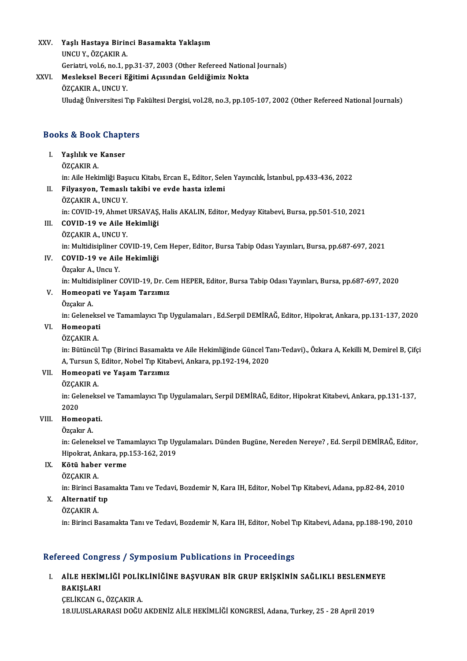XXV. Yaşlı Hastaya Birinci Basamakta Yaklaşım<br>UNGU Y. ÖZCAKIR A **Yaşlı Hastaya Birin<br>UNCU Y., ÖZÇAKIR A.**<br>Coristri val 6 na 1 n Yaşlı Hastaya Birinci Basamakta Yaklaşım<br>UNCU Y., ÖZÇAKIR A.<br>Geriatri, vol.6, no.1, pp.31-37, 2003 (Other Refereed National Journals)<br>Mesleksel Beseni Eğitimi Asısından Galdiğimiz Nakta UNCU Y., ÖZÇAKIR A.<br>Geriatri, vol.6, no.1, pp.31-37, 2003 (Other Refereed Nation<br>XXVI. Mesleksel Beceri Eğitimi Açısından Geldiğimiz Nokta<br>ÖZÇAKIR A., UNCU Y.

# Geriatri, vol.6, no.1, p<br>Mesleksel Beceri E<br>ÖZÇAKIR A., UNCU Y.<br>Uludağ Üniversitesi T

Uludağ Üniversitesi Tıp Fakültesi Dergisi, vol.28, no.3, pp.105-107, 2002 (Other Refereed National Journals)

# oludag oniversitesi Tip ra<br>Books & Book Chapters

ooks & Book Chapt<br>I. Yaşlılık ve Kanser<br>ÖZCAKIR A I. Yaşlılık ve Kanser<br>ÖZÇAKIR A. Yaşlılık ve Kanser<br>ÖZÇAKIR A.<br>in: Aile Hekimliği Başucu Kitabı, Ercan E., Editor, Selen Yayıncılık, İstanbul, pp.433-436, 2022<br>Eilvasyon, Temaslı takihi ve evde hasta izlemi

- II. Filyasyon, Temaslı takibi ve evde hasta izlemi<br>ÖZÇAKIR A., UNCU Y. in: Aile Hekimliği Baş<br>Filyasyon, Temaslı<br>ÖZÇAKIR A., UNCU Y.<br>in: COVID 19. Abmet. Filyasyon, Temaslı takibi ve evde hasta izlemi<br>ÖZÇAKIR A., UNCU Y.<br>in: COVID-19, Ahmet URSAVAŞ, Halis AKALIN, Editor, Medyay Kitabevi, Bursa, pp.501-510, 2021<br>COVID-19 ve Aile Hekimliği
- III. COVID-19 ve Aile Hekimliği<br>ÖZÇAKIR A., UNCU Y. in: COVID-19, Ahmet<br>COVID-19 ve Aile F<br>ÖZÇAKIR A., UNCU Y.<br>in: Multidialiner CO.
	-

COVID-19 ve Aile Hekimliği<br>ÖZÇAKIR A., UNCU Y.<br>in: Multidisipliner COVID-19, Cem Heper, Editor, Bursa Tabip Odası Yayınları, Bursa, pp.687-697, 2021<br>COVID-19 ve Aile Hekimliği

# IV. COVID-19 ve Aile Hekimliği

in: Multidisipliner<br>COVID-19 ve Aile<br>Özçakır A., Uncu Y.<br>in: Multidisipliner (

in: Multidisipliner COVID-19, Dr. Cem HEPER, Editor, Bursa Tabip Odası Yayınları, Bursa, pp.687-697, 2020

# Özçakır A., Uncu Y.<br>in: Multidisipliner COVID-19, Dr. Ce<br>V. Homeopati ve Yaşam Tarzımız<br>Özçəler A in: Multidi<br>Homeopa<br>Özçakır A.<br>in: Celenel

Özçakır A.<br>in: Geleneksel ve Tamamlayıcı Tıp Uygulamaları , Ed.Serpil DEMİRAĞ, Editor, Hipokrat, Ankara, pp.131-137, 2020

## VI. Homeopati

## ÖZÇAKIRA.

Homeopati<br>ÖZÇAKIR A.<br>in: Bütüncül Tıp (Birinci Basamakta ve Aile Hekimliğinde Güncel Tanı-Tedavi)., Özkara A, Kekilli M, Demirel B, Çifçi ÖZÇAKIR A.<br>in: Bütüncül Tıp (Birinci Basamakta ve Aile Hekimliğinde Güncel Ta<br>A, Tursun S, Editor, Nobel Tıp Kitabevi, Ankara, pp.192-194, 2020<br>Hemeenati ve Yasam Tarzımız in: Bütüncül Tıp (Birinci Basamakt:<br>A, Tursun S, Editor, Nobel Tıp Kital<br>VII. **Homeopati ve Yaşam Tarzımız**<br>ÖZCAKIP A A, Tursun S,<br><mark>Homeopati</mark><br>ÖZÇAKIR A.<br>in: Celeneks

Homeopati ve Yaşam Tarzımız<br>ÖZÇAKIR A.<br>in: Geleneksel ve Tamamlayıcı Tıp Uygulamaları, Serpil DEMİRAĞ, Editor, Hipokrat Kitabevi, Ankara, pp.131-137, ÖZÇAI<br>in: Gel<br>2020<br>Home in: Gelenekse<br>2020<br>VIII. **Homeopati.**<br>Özgelyn A 2020<br>Homeopa<br>Özçakır A.<br>in: Celanel

H**omeopati.**<br>Özçakır A.<br>in: Geleneksel ve Tamamlayıcı Tıp Uygulamaları. Dünden Bugüne, Nereden Nereye? , Ed. Serpil DEMİRAĞ, Editor,<br>Hinelmat, Ankara, np.153, 162, 2019 Özçakır A.<br>in: Geleneksel ve Tamamlayıcı Tıp Uy<br>Hipokrat, Ankara, pp.153-162, 2019<br>Kötü baber yerme Hipokrat, Ankara, pp.153-162, 2019

# IX. Kötü haber verme

Kötü haber verme<br>ÖZÇAKIR A.<br>in: Birinci Basamakta Tanı ve Tedavi, Bozdemir N, Kara IH, Editor, Nobel Tıp Kitabevi, Adana, pp.82-84, 2010<br>Alternatif tın in: Birinci Ba<br><mark>Alternatif</mark> t<br>ÖZÇAKIR A.<br>in: Birinci Ba</mark>

# X. Alternatif tıp

in: Birinci Basamakta Tanı ve Tedavi, Bozdemir N, Kara IH, Editor, Nobel Tıp Kitabevi, Adana, pp.188-190, 2010

## Refereed Congress / Symposium Publications in Proceedings

# efereed Congress / Symposium Publications in Proceedings<br>I. - AİLE HEKİMLİĞİ POLİKLİNİĞİNE BAŞVURAN BİR GRUP ERİŞKİNİN SAĞLIKLI BESLENMEYE<br>RAKISLARI ALE HEKIN<br>BAKIŞLARI<br>BAKIŞLARI AİLE HEKİMLİĞİ POLİK<br>BAKIŞLARI<br>ÇELİKCAN G., ÖZÇAKIR A.<br>19 III IISI ARAPASI DOĞU

BAKIŞLARI<br>ÇELİKCAN G., ÖZÇAKIR A.<br>18.ULUSLARARASI DOĞU AKDENİZ AİLE HEKİMLİĞİ KONGRESİ, Adana, Turkey, 25 - 28 April 2019